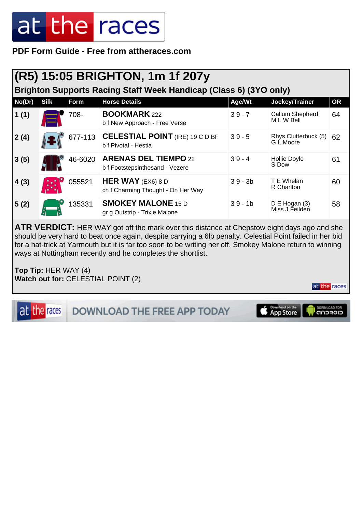**PDF Form Guide - Free from attheraces.com**

#### **(R5) 15:05 BRIGHTON, 1m 1f 207y**

**Brighton Supports Racing Staff Week Handicap (Class 6) (3YO only)**

| No(Dr) | <b>Silk</b> | <b>Form</b> | <b>Horse Details</b>                                           | Age/Wt    | Jockey/Trainer                     | <b>OR</b> |
|--------|-------------|-------------|----------------------------------------------------------------|-----------|------------------------------------|-----------|
| 1(1)   |             | 708-        | <b>BOOKMARK 222</b><br>b f New Approach - Free Verse           | $39 - 7$  | Callum Shepherd<br>MLW Bell        | 64        |
| 2(4)   |             | 677-113     | <b>CELESTIAL POINT (IRE) 19 C D BF</b><br>b f Pivotal - Hestia | $39 - 5$  | Rhys Clutterbuck (5)<br>G L Moore  | 62        |
| 3(5)   |             | 46-6020     | <b>ARENAS DEL TIEMPO 22</b><br>b f Footstepsinthesand - Vezere | $39 - 4$  | Hollie Doyle<br>S Dow              | 61        |
| 4(3)   |             | 055521      | HER WAY (EX6) 8 D<br>ch f Charming Thought - On Her Way        | $39 - 3b$ | T E Whelan<br>R Charlton           | 60        |
| 5(2)   |             | 135331      | <b>SMOKEY MALONE 15 D</b><br>gr g Outstrip - Trixie Malone     | $39 - 1b$ | $D \to Hogan(3)$<br>Miss J Feilden | 58        |

**ATR VERDICT:** HER WAY got off the mark over this distance at Chepstow eight days ago and she should be very hard to beat once again, despite carrying a 6lb penalty. Celestial Point failed in her bid for a hat-trick at Yarmouth but it is far too soon to be writing her off. Smokey Malone return to winning ways at Nottingham recently and he completes the shortlist.

**Top Tip:** HER WAY (4) **Watch out for:** CELESTIAL POINT (2)

at the races

at the races

DOWNLOAD THE FREE APP TODAY

Download on the<br>App Store

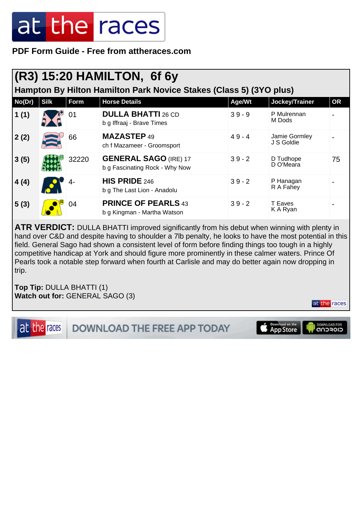**PDF Form Guide - Free from attheraces.com**

#### **(R3) 15:20 HAMILTON, 6f 6y**

**Hampton By Hilton Hamilton Park Novice Stakes (Class 5) (3YO plus)**

| No(Dr) | <b>Silk</b> | Form  | <b>Horse Details</b>                                           | Age/Wt   | Jockey/Trainer              | <b>OR</b> |
|--------|-------------|-------|----------------------------------------------------------------|----------|-----------------------------|-----------|
| 1(1)   |             | 01    | <b>DULLA BHATTI 26 CD</b><br>b g Iffraaj - Brave Times         | $39 - 9$ | P Mulrennan<br>M Dods       |           |
| 2(2)   | ≋           | 66    | <b>MAZASTEP 49</b><br>ch f Mazameer - Groomsport               | $49 - 4$ | Jamie Gormley<br>J S Goldie |           |
| 3(5)   |             | 32220 | <b>GENERAL SAGO (IRE) 17</b><br>b g Fascinating Rock - Why Now | $39 - 2$ | D Tudhope<br>D O'Meara      | 75        |
| 4(4)   |             | $4-$  | HIS PRIDE 246<br>b g The Last Lion - Anadolu                   | $39 - 2$ | P Hanagan<br>R A Fahey      |           |
| 5(3)   |             | 04    | <b>PRINCE OF PEARLS 43</b><br>b g Kingman - Martha Watson      | $39 - 2$ | T Eaves<br>K A Ryan         |           |

**ATR VERDICT:** DULLA BHATTI improved significantly from his debut when winning with plenty in hand over C&D and despite having to shoulder a 7lb penalty, he looks to have the most potential in this field. General Sago had shown a consistent level of form before finding things too tough in a highly competitive handicap at York and should figure more prominently in these calmer waters. Prince Of Pearls took a notable step forward when fourth at Carlisle and may do better again now dropping in trip.

**Top Tip:** DULLA BHATTI (1) **Watch out for:** GENERAL SAGO (3)

at the races

**DOWNLOAD THE FREE APP TODAY** 

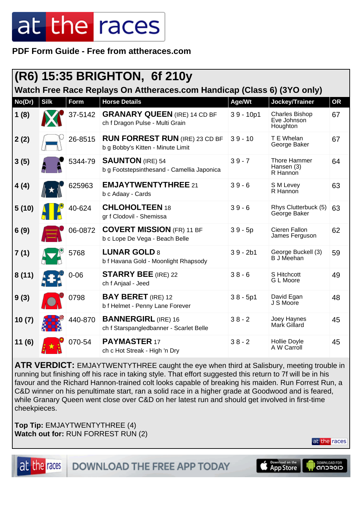**PDF Form Guide - Free from attheraces.com**

|        | (R6) 15:35 BRIGHTON, 6f 210y                                            |          |                                                                            |             |                                                  |           |  |  |  |
|--------|-------------------------------------------------------------------------|----------|----------------------------------------------------------------------------|-------------|--------------------------------------------------|-----------|--|--|--|
|        | Watch Free Race Replays On Attheraces.com Handicap (Class 6) (3YO only) |          |                                                                            |             |                                                  |           |  |  |  |
| No(Dr) | <b>Silk</b>                                                             | Form     | <b>Horse Details</b>                                                       | Age/Wt      | Jockey/Trainer                                   | <b>OR</b> |  |  |  |
| 1(8)   |                                                                         | 37-5142  | <b>GRANARY QUEEN (IRE) 14 CD BF</b><br>ch f Dragon Pulse - Multi Grain     | $39 - 10p1$ | <b>Charles Bishop</b><br>Eve Johnson<br>Houghton | 67        |  |  |  |
| 2(2)   |                                                                         | 26-8515  | <b>RUN FORREST RUN (IRE) 23 CD BF</b><br>b g Bobby's Kitten - Minute Limit | $39 - 10$   | T E Whelan<br>George Baker                       | 67        |  |  |  |
| 3(5)   |                                                                         | 5344-79  | <b>SAUNTON</b> (IRE) 54<br>b g Footstepsinthesand - Camellia Japonica      | $39 - 7$    | <b>Thore Hammer</b><br>Hansen (3)<br>R Hannon    | 64        |  |  |  |
| 4(4)   |                                                                         | 625963   | <b>EMJAYTWENTYTHREE 21</b><br>b c Adaay - Cards                            | $39 - 6$    | S M Levey<br>R Hannon                            | 63        |  |  |  |
| 5(10)  |                                                                         | 40-624   | <b>CHLOHOLTEEN 18</b><br>gr f Clodovil - Shemissa                          | $39 - 6$    | Rhys Clutterbuck (5)<br>George Baker             | 63        |  |  |  |
| 6(9)   |                                                                         | 06-0872  | <b>COVERT MISSION (FR) 11 BF</b><br>b c Lope De Vega - Beach Belle         | $39 - 5p$   | Cieren Fallon<br>James Ferguson                  | 62        |  |  |  |
| 7(1)   |                                                                         | 5768     | <b>LUNAR GOLD 8</b><br>b f Havana Gold - Moonlight Rhapsody                | $39 - 2b1$  | George Buckell (3)<br><b>B</b> J Meehan          | 59        |  |  |  |
| 8(11)  |                                                                         | $0 - 06$ | <b>STARRY BEE</b> (IRE) 22<br>ch f Anjaal - Jeed                           | $38 - 6$    | S Hitchcott<br>G L Moore                         | 49        |  |  |  |
| 9(3)   |                                                                         | 0798     | <b>BAY BERET</b> (IRE) 12<br>b f Helmet - Penny Lane Forever               | $38 - 5p1$  | David Egan<br>J S Moore                          | 48        |  |  |  |
| 10(7)  |                                                                         | 440-870  | <b>BANNERGIRL (IRE) 16</b><br>ch f Starspangledbanner - Scarlet Belle      | $38 - 2$    | Joey Haynes<br>Mark Gillard                      | 45        |  |  |  |
| 11(6)  |                                                                         | 070-54   | <b>PAYMASTER 17</b><br>ch c Hot Streak - High 'n Dry                       | $38 - 2$    | Hollie Doyle<br>A W Carroll                      | 45        |  |  |  |

**ATR VERDICT:** EMJAYTWENTYTHREE caught the eye when third at Salisbury, meeting trouble in running but finishing off his race in taking style. That effort suggested this return to 7f will be in his favour and the Richard Hannon-trained colt looks capable of breaking his maiden. Run Forrest Run, a C&D winner on his penultimate start, ran a solid race in a higher grade at Goodwood and is feared, while Granary Queen went close over C&D on her latest run and should get involved in first-time cheekpieces.

**Top Tip:** EMJAYTWENTYTHREE (4) **Watch out for:** RUN FORREST RUN (2)





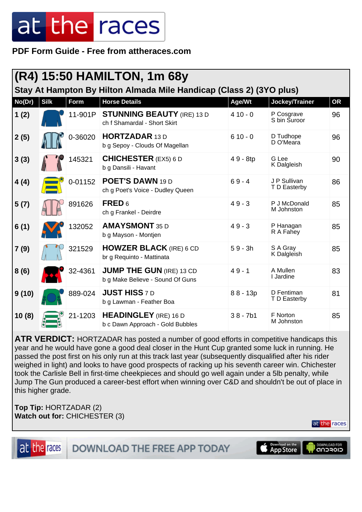**PDF Form Guide - Free from attheraces.com**

|                                                                     | (R4) 15:50 HAMILTON, 1m 68y |             |                                                                     |            |                              |           |  |  |  |
|---------------------------------------------------------------------|-----------------------------|-------------|---------------------------------------------------------------------|------------|------------------------------|-----------|--|--|--|
| Stay At Hampton By Hilton Almada Mile Handicap (Class 2) (3YO plus) |                             |             |                                                                     |            |                              |           |  |  |  |
| No(Dr)                                                              | <b>Silk</b>                 | <b>Form</b> | <b>Horse Details</b>                                                | Age/Wt     | Jockey/Trainer               | <b>OR</b> |  |  |  |
| 1(2)                                                                |                             | 11-901P     | <b>STUNNING BEAUTY (IRE) 13 D</b><br>ch f Shamardal - Short Skirt   | $410 - 0$  | P Cosgrave<br>S bin Suroor   | 96        |  |  |  |
| 2(5)                                                                |                             | 0-36020     | <b>HORTZADAR 13 D</b><br>b g Sepoy - Clouds Of Magellan             | $610 - 0$  | D Tudhope<br>D O'Meara       | 96        |  |  |  |
| 3(3)                                                                |                             | 145321      | <b>CHICHESTER</b> (EX5) 6 D<br>b g Dansili - Havant                 | 49 - 8tp   | G Lee<br>K Dalgleish         | 90        |  |  |  |
| 4(4)                                                                |                             | 0-01152     | POET'S DAWN 19 D<br>ch g Poet's Voice - Dudley Queen                | $69 - 4$   | J P Sullivan<br>T D Easterby | 86        |  |  |  |
| 5(7)                                                                |                             | 891626      | FRED <sub>6</sub><br>ch g Frankel - Deirdre                         | $49 - 3$   | P J McDonald<br>M Johnston   | 85        |  |  |  |
| 6(1)                                                                |                             | 132052      | <b>AMAYSMONT 35 D</b><br>b g Mayson - Montjen                       | $49 - 3$   | P Hanagan<br>R A Fahey       | 85        |  |  |  |
| 7(9)                                                                |                             | 321529      | <b>HOWZER BLACK (IRE) 6 CD</b><br>br g Requinto - Mattinata         | $59 - 3h$  | S A Gray<br>K Dalgleish      | 85        |  |  |  |
| 8(6)                                                                |                             | 32-4361     | <b>JUMP THE GUN (IRE) 13 CD</b><br>b g Make Believe - Sound Of Guns | $49 - 1$   | A Mullen<br>I Jardine        | 83        |  |  |  |
| 9(10)                                                               |                             | 889-024     | <b>JUST HISS 7 D</b><br>b g Lawman - Feather Boa                    | $88 - 13p$ | D Fentiman<br>T D Easterby   | 81        |  |  |  |
| 10(8)                                                               |                             | 21-1203     | <b>HEADINGLEY</b> (IRE) 16 D<br>b c Dawn Approach - Gold Bubbles    | $38 - 7b1$ | F Norton<br>M Johnston       | 85        |  |  |  |

**ATR VERDICT:** HORTZADAR has posted a number of good efforts in competitive handicaps this year and he would have gone a good deal closer in the Hunt Cup granted some luck in running. He passed the post first on his only run at this track last year (subsequently disqualified after his rider weighed in light) and looks to have good prospects of racking up his seventh career win. Chichester took the Carlisle Bell in first-time cheekpieces and should go well again under a 5lb penalty, while Jump The Gun produced a career-best effort when winning over C&D and shouldn't be out of place in this higher grade.

**Top Tip:** HORTZADAR (2) **Watch out for:** CHICHESTER (3)



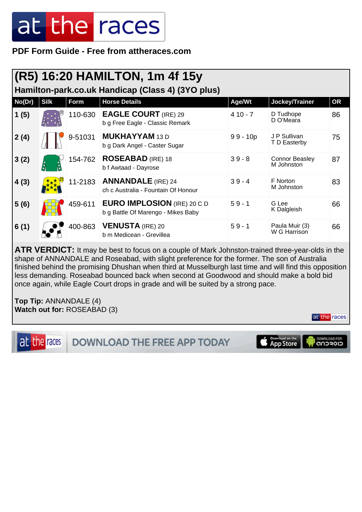**PDF Form Guide - Free from attheraces.com**

|        | (R5) 16:20 HAMILTON, 1m 4f 15y                    |         |                                                                          |            |                                     |           |  |  |  |  |
|--------|---------------------------------------------------|---------|--------------------------------------------------------------------------|------------|-------------------------------------|-----------|--|--|--|--|
|        | Hamilton-park.co.uk Handicap (Class 4) (3YO plus) |         |                                                                          |            |                                     |           |  |  |  |  |
| No(Dr) | <b>Silk</b>                                       | Form    | <b>Horse Details</b>                                                     | Age/Wt     | Jockey/Trainer                      | <b>OR</b> |  |  |  |  |
| 1(5)   |                                                   | 110-630 | <b>EAGLE COURT (IRE) 29</b><br>b g Free Eagle - Classic Remark           | $410 - 7$  | D Tudhope<br>D O'Meara              | 86        |  |  |  |  |
| 2(4)   |                                                   | 9-51031 | <b>MUKHAYYAM 13 D</b><br>b g Dark Angel - Caster Sugar                   | $99 - 10p$ | J P Sullivan<br>T D Easterby        | 75        |  |  |  |  |
| 3(2)   |                                                   | 154-762 | <b>ROSEABAD</b> (IRE) 18<br>b f Awtaad - Dayrose                         | $39 - 8$   | <b>Connor Beasley</b><br>M Johnston | 87        |  |  |  |  |
| 4(3)   |                                                   | 11-2183 | <b>ANNANDALE</b> (IRE) 24<br>ch c Australia - Fountain Of Honour         | $39 - 4$   | F Norton<br>M Johnston              | 83        |  |  |  |  |
| 5(6)   |                                                   | 459-611 | <b>EURO IMPLOSION (IRE) 20 C D</b><br>b g Battle Of Marengo - Mikes Baby | $59 - 1$   | G Lee<br>K Dalgleish                | 66        |  |  |  |  |
| 6(1)   |                                                   | 400-863 | <b>VENUSTA (IRE) 20</b><br>b m Medicean - Grevillea                      | $59 - 1$   | Paula Muir (3)<br>W G Harrison      | 66        |  |  |  |  |

**ATR VERDICT:** It may be best to focus on a couple of Mark Johnston-trained three-year-olds in the shape of ANNANDALE and Roseabad, with slight preference for the former. The son of Australia finished behind the promising Dhushan when third at Musselburgh last time and will find this opposition less demanding. Roseabad bounced back when second at Goodwood and should make a bold bid once again, while Eagle Court drops in grade and will be suited by a strong pace.

at the races

**Top Tip:** ANNANDALE (4) **Watch out for:** ROSEABAD (3)

at the races Download on the DOWNLOAD FOR **DOWNLOAD THE FREE APP TODAY**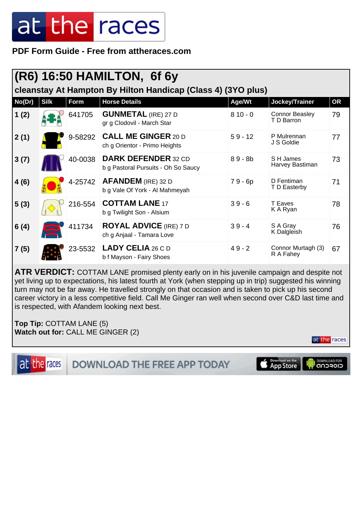**PDF Form Guide - Free from attheraces.com**

| (R6) 16:50 HAMILTON, 6f 6y                                   |             |         |                                                                   |           |                                     |           |  |  |  |
|--------------------------------------------------------------|-------------|---------|-------------------------------------------------------------------|-----------|-------------------------------------|-----------|--|--|--|
| cleanstay At Hampton By Hilton Handicap (Class 4) (3YO plus) |             |         |                                                                   |           |                                     |           |  |  |  |
| No(Dr)                                                       | <b>Silk</b> | Form    | <b>Horse Details</b>                                              | Age/Wt    | Jockey/Trainer                      | <b>OR</b> |  |  |  |
| 1(2)                                                         |             | 641705  | <b>GUNMETAL</b> (IRE) 27 D<br>gr g Clodovil - March Star          | $810 - 0$ | <b>Connor Beasley</b><br>T D Barron | 79        |  |  |  |
| 2(1)                                                         |             | 9-58292 | <b>CALL ME GINGER 20 D</b><br>ch g Orientor - Primo Heights       | $59 - 12$ | P Mulrennan<br>J S Goldie           | 77        |  |  |  |
| 3(7)                                                         |             | 40-0038 | <b>DARK DEFENDER 32 CD</b><br>b g Pastoral Pursuits - Oh So Saucy | $89 - 8b$ | S H James<br>Harvey Bastiman        | 73        |  |  |  |
| 4(6)                                                         |             | 4-25742 | <b>AFANDEM</b> (IRE) 32 D<br>b g Vale Of York - Al Mahmeyah       | $79 - 6p$ | D Fentiman<br>T D Easterby          | 71        |  |  |  |
| 5(3)                                                         |             | 216-554 | <b>COTTAM LANE 17</b><br>b g Twilight Son - Alsium                | $39 - 6$  | T Eaves<br>K A Ryan                 | 78        |  |  |  |
| 6(4)                                                         |             | 411734  | <b>ROYAL ADVICE (IRE) 7 D</b><br>ch g Anjaal - Tamara Love        | $39 - 4$  | S A Gray<br>K Dalgleish             | 76        |  |  |  |
| 7(5)                                                         |             | 23-5532 | <b>LADY CELIA</b> 26 C D<br>b f Mayson - Fairy Shoes              | $49 - 2$  | Connor Murtagh (3)<br>R A Fahey     | 67        |  |  |  |

**ATR VERDICT:** COTTAM LANE promised plenty early on in his juvenile campaign and despite not yet living up to expectations, his latest fourth at York (when stepping up in trip) suggested his winning turn may not be far away. He travelled strongly on that occasion and is taken to pick up his second career victory in a less competitive field. Call Me Ginger ran well when second over C&D last time and is respected, with Afandem looking next best.

**Top Tip:** COTTAM LANE (5) **Watch out for:** CALL ME GINGER (2)

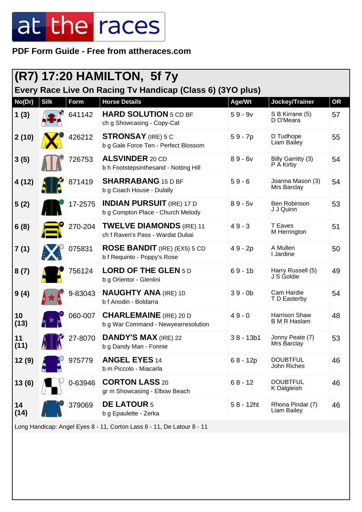**PDF Form Guide - Free from attheraces.com**

|            |                                                                        |             | (R7) 17:20 HAMILTON, 5f 7y                                                         |              |                                             |           |  |
|------------|------------------------------------------------------------------------|-------------|------------------------------------------------------------------------------------|--------------|---------------------------------------------|-----------|--|
| No(Dr)     | <b>Silk</b>                                                            | <b>Form</b> | Every Race Live On Racing Tv Handicap (Class 6) (3YO plus)<br><b>Horse Details</b> | Age/Wt       | Jockey/Trainer                              | <b>OR</b> |  |
| 1(3)       |                                                                        | 641142      | <b>HARD SOLUTION</b> 5 CD BF<br>ch g Showcasing - Copy-Cat                         | $59 - 9v$    | S B Kirrane (5)<br>D O'Meara                | 57        |  |
| 2(10)      |                                                                        | 426212      | <b>STRONSAY</b> (IRE) 5 C<br>b g Gale Force Ten - Perfect Blossom                  | $59 - 7p$    | D Tudhope<br>Liam Bailey                    | 55        |  |
| 3(5)       |                                                                        | 726753      | <b>ALSVINDER 20 CD</b><br>b h Footstepsinthesand - Notting Hill                    | $89 - 6v$    | Billy Garritty (3)<br>P A Kirby             | 54        |  |
| 4(12)      |                                                                        | 871419      | <b>SHARRABANG 15 D BF</b><br>b g Coach House - Dulally                             | $59 - 6$     | Joanna Mason (3)<br>Mrs Barclay             | 54        |  |
| 5(2)       |                                                                        | 17-2575     | <b>INDIAN PURSUIT</b> (IRE) 17 D<br>b g Compton Place - Church Melody              | $89 - 5v$    | Ben Robinson<br>J J Quinn                   | 53        |  |
| 6(8)       |                                                                        | 270-204     | <b>TWELVE DIAMONDS (IRE) 11</b><br>ch f Raven's Pass - Wardat Dubai                | $49 - 3$     | T Eaves<br>M Herrington                     | 51        |  |
| 7(1)       |                                                                        | 075831      | <b>ROSE BANDIT</b> (IRE) (EX5) 5 CD<br>b f Requinto - Poppy's Rose                 | 49 - 2p      | A Mullen<br>I Jardine                       | 50        |  |
| 8(7)       |                                                                        | 756124      | <b>LORD OF THE GLEN 5D</b><br>b g Orientor - Glenlini                              | $69 - 1b$    | Harry Russell (5)<br>J S Goldie             | 49        |  |
| 9(4)       |                                                                        | 9-83043     | <b>NAUGHTY ANA (IRE) 10</b><br>b f Anodin - Boldarra                               | $39 - 0b$    | Cam Hardie<br>T D Easterby                  | 54        |  |
| 10<br>(13) |                                                                        | 060-007     | <b>CHARLEMAINE</b> (IRE) 20 D<br>b g War Command - Newyearresolution               | $49 - 0$     | <b>Harrison Shaw</b><br><b>B M R Haslam</b> | 48        |  |
| 11<br>(11) |                                                                        | 27-8070     | <b>DANDY'S MAX</b> (IRE) 22<br>b g Dandy Man - Fonnie                              | $38 - 13b1$  | Jonny Peate (7)<br>Mrs Barclay              | 53        |  |
| 12(9)      |                                                                        | 975779      | <b>ANGEL EYES 14</b><br>b m Piccolo - Miacarla                                     | $68 - 12p$   | <b>DOUBTFUL</b><br>John Riches              | 46        |  |
| 13(6)      |                                                                        | 0-63946     | <b>CORTON LASS 20</b><br>gr m Showcasing - Elbow Beach                             | $68 - 12$    | <b>DOUBTFUL</b><br>K Dalgleish              | 46        |  |
| 14<br>(14) |                                                                        | 379069      | <b>DE LATOUR 5</b><br>b g Epaulette - Zerka                                        | $58 - 12$ ht | Rhona Pindar (7)<br>Liam Bailey             | 46        |  |
|            | Long Handicap: Angel Eyes 8 - 11, Corton Lass 8 - 11, De Latour 8 - 11 |             |                                                                                    |              |                                             |           |  |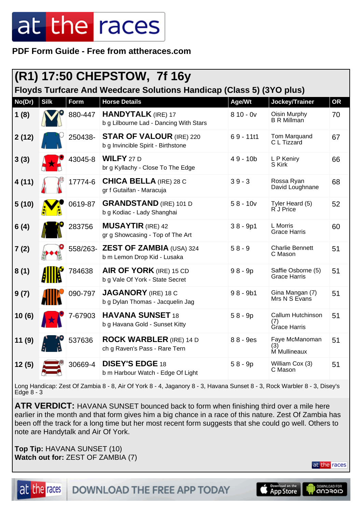**PDF Form Guide - Free from attheraces.com**

|        |                                                                      |          | (R1) 17:50 CHEPSTOW, 7f 16y                                           |             |                                                 |           |  |  |
|--------|----------------------------------------------------------------------|----------|-----------------------------------------------------------------------|-------------|-------------------------------------------------|-----------|--|--|
|        | Floyds Turfcare And Weedcare Solutions Handicap (Class 5) (3YO plus) |          |                                                                       |             |                                                 |           |  |  |
| No(Dr) | <b>Silk</b>                                                          | Form     | <b>Horse Details</b>                                                  | Age/Wt      | Jockey/Trainer                                  | <b>OR</b> |  |  |
| 1(8)   |                                                                      | 880-447  | <b>HANDYTALK</b> (IRE) 17<br>b g Lilbourne Lad - Dancing With Stars   | $810 - 0v$  | Oisin Murphy<br><b>B R Millman</b>              | 70        |  |  |
| 2(12)  |                                                                      | 250438-  | <b>STAR OF VALOUR (IRE) 220</b><br>b g Invincible Spirit - Birthstone | $69 - 1111$ | <b>Tom Marquand</b><br>C L Tizzard              | 67        |  |  |
| 3(3)   |                                                                      | 43045-8  | <b>WILFY</b> 27 D<br>br g Kyllachy - Close To The Edge                | $49 - 10b$  | L P Keniry<br>S Kirk                            | 66        |  |  |
| 4 (11) |                                                                      | 17774-6  | <b>CHICA BELLA (IRE) 28 C</b><br>gr f Gutaifan - Maracuja             | $39 - 3$    | Rossa Ryan<br>David Loughnane                   | 68        |  |  |
| 5(10)  |                                                                      | 0619-87  | <b>GRANDSTAND</b> (IRE) 101 D<br>b g Kodiac - Lady Shanghai           | $58 - 10v$  | Tyler Heard (5)<br>R J Price                    | 52        |  |  |
| 6(4)   |                                                                      | 283756   | <b>MUSAYTIR</b> (IRE) 42<br>gr g Showcasing - Top of The Art          | $38 - 9p1$  | L Morris<br><b>Grace Harris</b>                 | 60        |  |  |
| 7(2)   |                                                                      | 558/263- | <b>ZEST OF ZAMBIA (USA) 324</b><br>b m Lemon Drop Kid - Lusaka        | $58 - 9$    | <b>Charlie Bennett</b><br>C Mason               | 51        |  |  |
| 8(1)   |                                                                      | 784638   | <b>AIR OF YORK</b> (IRE) 15 CD<br>b g Vale Of York - State Secret     | $98 - 9p$   | Saffie Osborne (5)<br><b>Grace Harris</b>       | 51        |  |  |
| 9(7)   |                                                                      | 090-797  | <b>JAGANORY</b> (IRE) 18 C<br>b g Dylan Thomas - Jacquelin Jag        | $98 - 9b1$  | Gina Mangan (7)<br>Mrs N S Evans                | 51        |  |  |
| 10(6)  |                                                                      | 7-67903  | <b>HAVANA SUNSET 18</b><br>b g Havana Gold - Sunset Kitty             | $58 - 9p$   | Callum Hutchinson<br>(7)<br><b>Grace Harris</b> | 51        |  |  |
| 11(9)  |                                                                      | 537636   | <b>ROCK WARBLER (IRE) 14 D</b><br>ch g Raven's Pass - Rare Tern       | 88 - 9es    | Faye McManoman<br>(3)<br>M Mullineaux           | 51        |  |  |
| 12(5)  |                                                                      | 30669-4  | <b>DISEY'S EDGE 18</b><br>b m Harbour Watch - Edge Of Light           | $58 - 9p$   | William Cox (3)<br>C Mason                      | 51        |  |  |

Long Handicap: Zest Of Zambia 8 - 8, Air Of York 8 - 4, Jaganory 8 - 3, Havana Sunset 8 - 3, Rock Warbler 8 - 3, Disey's Edge 8 - 3

**ATR VERDICT:** HAVANA SUNSET bounced back to form when finishing third over a mile here earlier in the month and that form gives him a big chance in a race of this nature. Zest Of Zambia has been off the track for a long time but her most recent form suggests that she could go well. Others to note are Handytalk and Air Of York.

**Top Tip:** HAVANA SUNSET (10) **Watch out for:** ZEST OF ZAMBIA (7)

at the races

at the races **DOWNLOAD THE FREE APP TODAY**